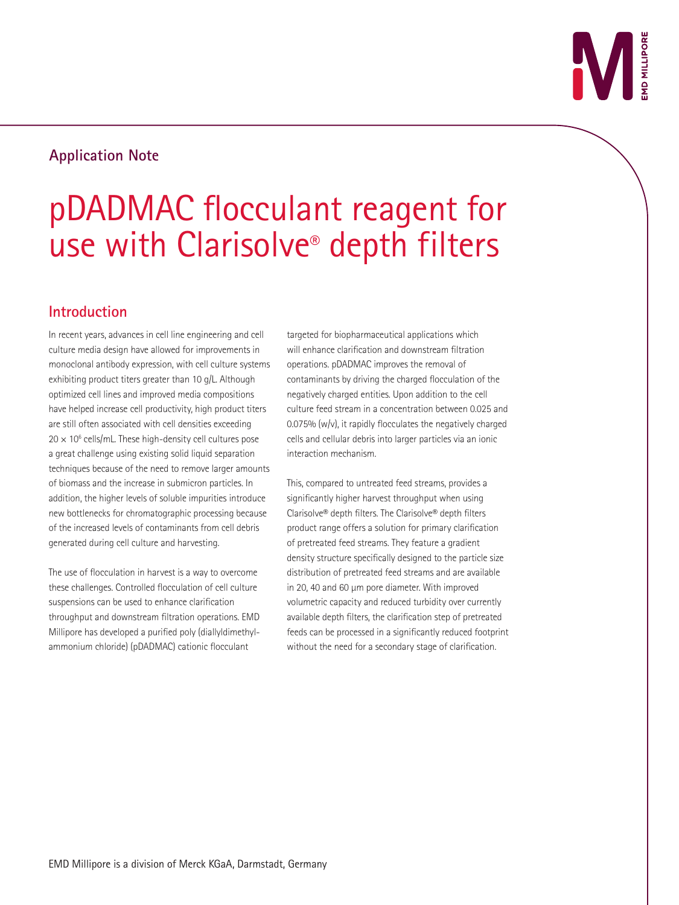# **Application Note**

# pDADMAC flocculant reagent for use with Clarisolve® depth filters

# **Introduction**

In recent years, advances in cell line engineering and cell culture media design have allowed for improvements in monoclonal antibody expression, with cell culture systems exhibiting product titers greater than 10 g/L. Although optimized cell lines and improved media compositions have helped increase cell productivity, high product titers are still often associated with cell densities exceeding  $20 \times 10^6$  cells/mL. These high-density cell cultures pose a great challenge using existing solid liquid separation techniques because of the need to remove larger amounts of biomass and the increase in submicron particles. In addition, the higher levels of soluble impurities introduce new bottlenecks for chromatographic processing because of the increased levels of contaminants from cell debris generated during cell culture and harvesting.

The use of flocculation in harvest is a way to overcome these challenges. Controlled flocculation of cell culture suspensions can be used to enhance clarification throughput and downstream filtration operations. EMD Millipore has developed a purified poly (diallyldimethylammonium chloride) (pDADMAC) cationic flocculant

targeted for biopharmaceutical applications which will enhance clarification and downstream filtration operations. pDADMAC improves the removal of contaminants by driving the charged flocculation of the negatively charged entities. Upon addition to the cell culture feed stream in a concentration between 0.025 and  $0.075%$  (w/v), it rapidly flocculates the negatively charged cells and cellular debris into larger particles via an ionic interaction mechanism.

This, compared to untreated feed streams, provides a significantly higher harvest throughput when using Clarisolve® depth filters. The Clarisolve® depth filters product range offers a solution for primary clarification of pretreated feed streams. They feature a gradient density structure specifically designed to the particle size distribution of pretreated feed streams and are available in 20, 40 and 60 µm pore diameter. With improved volumetric capacity and reduced turbidity over currently available depth filters, the clarification step of pretreated feeds can be processed in a significantly reduced footprint without the need for a secondary stage of clarification.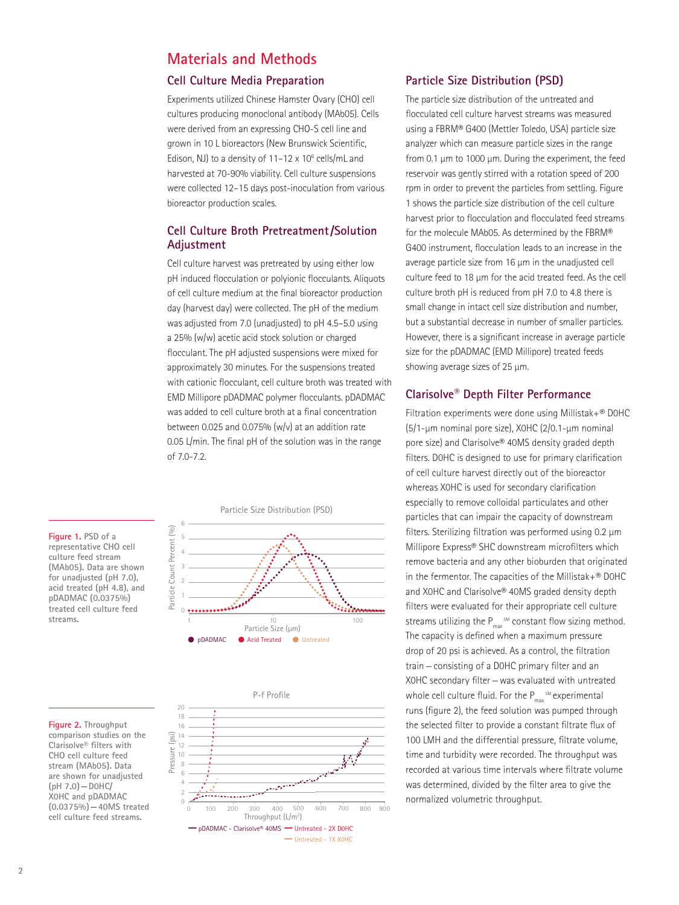# **Materials and Methods**

#### **Cell Culture Media Preparation**

Experiments utilized Chinese Hamster Ovary (CHO) cell cultures producing monoclonal antibody (MAb05). Cells were derived from an expressing CHO-S cell line and grown in 10 L bioreactors (New Brunswick Scientific, Edison, NJ) to a density of  $11-12 \times 10^6$  cells/mL and harvested at 70-90% viability. Cell culture suspensions were collected 12–15 days post-inoculation from various bioreactor production scales.

#### **Cell Culture Broth Pretreatment/Solution Adjustment**

Cell culture harvest was pretreated by using either low pH induced flocculation or polyionic flocculants. Aliquots of cell culture medium at the final bioreactor production day (harvest day) were collected. The pH of the medium was adjusted from 7.0 (unadjusted) to pH 4.5–5.0 using a 25% (w/w) acetic acid stock solution or charged flocculant. The pH adjusted suspensions were mixed for approximately 30 minutes. For the suspensions treated with cationic flocculant, cell culture broth was treated with EMD Millipore pDADMAC polymer flocculants. pDADMAC was added to cell culture broth at a final concentration between 0.025 and 0.075%  $(w/v)$  at an addition rate 0.05 L/min. The final pH of the solution was in the range of 7.0-7.2.

**Figure 1. PSD of a representative CHO cell culture feed stream (MAb05). Data are shown for unadjusted (pH 7.0), acid treated (pH 4.8), and pDADMAC (0.0375%) treated cell culture feed streams.**

**Figure 2. Throughput** 

Pressure (psi)

Pressure









#### **Particle Size Distribution (PSD)**

The particle size distribution of the untreated and flocculated cell culture harvest streams was measured using a FBRM® G400 (Mettler Toledo, USA) particle size analyzer which can measure particle sizes in the range from 0.1 µm to 1000 µm. During the experiment, the feed reservoir was gently stirred with a rotation speed of 200 rpm in order to prevent the particles from settling. Figure 1 shows the particle size distribution of the cell culture harvest prior to flocculation and flocculated feed streams for the molecule MAb05. As determined by the FBRM® G400 instrument, flocculation leads to an increase in the average particle size from 16 µm in the unadjusted cell culture feed to 18 µm for the acid treated feed. As the cell culture broth pH is reduced from pH 7.0 to 4.8 there is small change in intact cell size distribution and number, but a substantial decrease in number of smaller particles. However, there is a significant increase in average particle size for the pDADMAC (EMD Millipore) treated feeds showing average sizes of 25 µm.

#### **Clarisolve® Depth Filter Performance**

Filtration experiments were done using Millistak+® D0HC (5/1-µm nominal pore size), X0HC (2/0.1-µm nominal pore size) and Clarisolve® 40MS density graded depth filters. D0HC is designed to use for primary clarification of cell culture harvest directly out of the bioreactor whereas X0HC is used for secondary clarification especially to remove colloidal particulates and other particles that can impair the capacity of downstream filters. Sterilizing filtration was performed using 0.2 µm Millipore Express® SHC downstream microfilters which remove bacteria and any other bioburden that originated in the fermentor. The capacities of the Millistak+® D0HC and X0HC and Clarisolve® 40MS graded density depth filters were evaluated for their appropriate cell culture streams utilizing the  $P_{\text{max}}$  sm constant flow sizing method. The capacity is defined when a maximum pressure drop of 20 psi is achieved. As a control, the filtration train—consisting of a D0HC primary filter and an X0HC secondary filter—was evaluated with untreated whole cell culture fluid. For the  $\mathsf{P}_{\mathsf{max}}$  smexperimental runs (figure 2), the feed solution was pumped through the selected filter to provide a constant filtrate flux of 100 LMH and the differential pressure, filtrate volume, time and turbidity were recorded. The throughput was recorded at various time intervals where filtrate volume was determined, divided by the filter area to give the normalized volumetric throughput.

**comparison studies on the Clarisolve® filters with CHO cell culture feed stream (MAb05). Data are shown for unadjusted (pH 7.0)—D0HC/ X0HC and pDADMAC (0.0375%)—40MS treated cell culture feed streams.**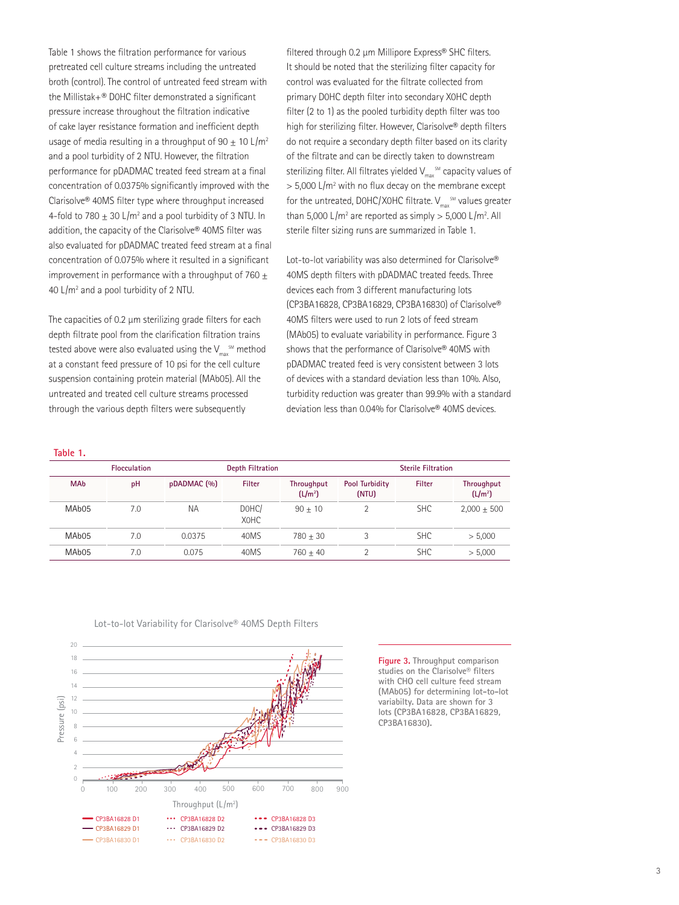Table 1 shows the filtration performance for various pretreated cell culture streams including the untreated broth (control). The control of untreated feed stream with the Millistak+® D0HC filter demonstrated a significant pressure increase throughout the filtration indicative of cake layer resistance formation and inefficient depth usage of media resulting in a throughput of 90  $\pm$  10 L/m<sup>2</sup> and a pool turbidity of 2 NTU. However, the filtration performance for pDADMAC treated feed stream at a final concentration of 0.0375% significantly improved with the Clarisolve® 40MS filter type where throughput increased 4-fold to 780  $\pm$  30 L/m<sup>2</sup> and a pool turbidity of 3 NTU. In addition, the capacity of the Clarisolve® 40MS filter was also evaluated for pDADMAC treated feed stream at a final concentration of 0.075% where it resulted in a significant improvement in performance with a throughput of 760  $\pm$ 40 L/m<sup>2</sup> and a pool turbidity of 2 NTU.

The capacities of 0.2 µm sterilizing grade filters for each depth filtrate pool from the clarification filtration trains tested above were also evaluated using the  $\mathsf{V}_{\mathsf{max}}^{\mathsf{sm}}$  method at a constant feed pressure of 10 psi for the cell culture suspension containing protein material (MAb05). All the untreated and treated cell culture streams processed through the various depth filters were subsequently

filtered through 0.2 µm Millipore Express® SHC filters. It should be noted that the sterilizing filter capacity for control was evaluated for the filtrate collected from primary D0HC depth filter into secondary X0HC depth filter (2 to 1) as the pooled turbidity depth filter was too high for sterilizing filter. However, Clarisolve® depth filters do not require a secondary depth filter based on its clarity of the filtrate and can be directly taken to downstream sterilizing filter. All filtrates yielded  $\mathsf{V}_{\mathsf{max}}^{\mathsf{SM}}$  capacity values of  $>$  5,000 L/m<sup>2</sup> with no flux decay on the membrane except for the untreated, DOHC/XOHC filtrate.  $\mathsf{V}_{\mathsf{max}}^{\mathsf{SM}}$  values greater than 5,000 L/m<sup>2</sup> are reported as simply  $> 5,000$  L/m<sup>2</sup>. All sterile filter sizing runs are summarized in Table 1.

Lot-to-lot variability was also determined for Clarisolve® 40MS depth filters with pDADMAC treated feeds. Three devices each from 3 different manufacturing lots (CP3BA16828, CP3BA16829, CP3BA16830) of Clarisolve® 40MS filters were used to run 2 lots of feed stream (MAb05) to evaluate variability in performance. Figure 3 shows that the performance of Clarisolve® 40MS with pDADMAC treated feed is very consistent between 3 lots of devices with a standard deviation less than 10%. Also, turbidity reduction was greater than 99.9% with a standard deviation less than 0.04% for Clarisolve® 40MS devices.

| $\sim$ |
|--------|
|--------|

| <b>Flocculation</b> |     |             | <b>Depth Filtration</b> |                                          |                                | <b>Sterile Filtration</b> |                                          |  |
|---------------------|-----|-------------|-------------------------|------------------------------------------|--------------------------------|---------------------------|------------------------------------------|--|
| <b>MAb</b>          | pH  | pDADMAC (%) | Filter                  | <b>Throughput</b><br>(L/m <sup>2</sup> ) | <b>Pool Turbidity</b><br>(NTU) | Filter                    | <b>Throughput</b><br>(L/m <sup>2</sup> ) |  |
| MA <sub>b</sub> 05  | 7.0 | ΝA          | DOHC/<br>XOHC           | $90 + 10$                                | C                              | <b>SHC</b>                | $2,000 + 500$                            |  |
| MA <sub>b</sub> 05  | 7.0 | 0.0375      | 40MS                    | $780 + 30$                               | 3                              | <b>SHC</b>                | > 5,000                                  |  |
| MA <sub>b</sub> 05  | 7.0 | 0.075       | 40MS                    | $760 + 40$                               |                                | <b>SHC</b>                | > 5,000                                  |  |



Lot-to-lot Variability for Clarisolve® 40MS Depth Filters

**Figure 3. Throughput comparison studies on the Clarisolve® filters with CHO cell culture feed stream (MAb05) for determining lot-to-lot variabilty. Data are shown for 3 lots (CP3BA16828, CP3BA16829, CP3BA16830).**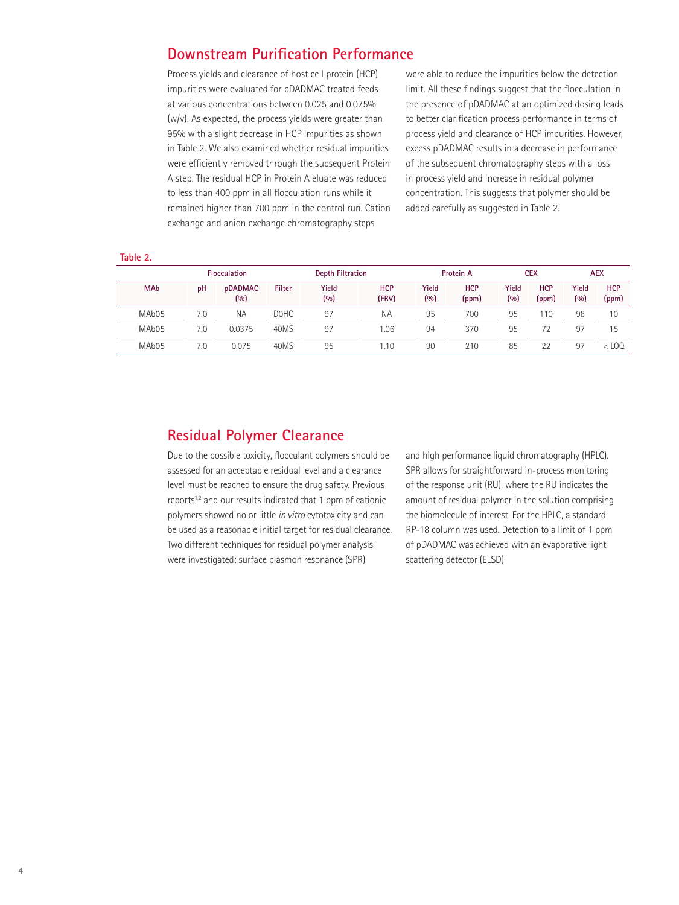# **Downstream Purification Performance**

Process yields and clearance of host cell protein (HCP) impurities were evaluated for pDADMAC treated feeds at various concentrations between 0.025 and 0.075% (w/v). As expected, the process yields were greater than 95% with a slight decrease in HCP impurities as shown in Table 2. We also examined whether residual impurities were efficiently removed through the subsequent Protein A step. The residual HCP in Protein A eluate was reduced to less than 400 ppm in all flocculation runs while it remained higher than 700 ppm in the control run. Cation exchange and anion exchange chromatography steps

were able to reduce the impurities below the detection limit. All these findings suggest that the flocculation in the presence of pDADMAC at an optimized dosing leads to better clarification process performance in terms of process yield and clearance of HCP impurities. However, excess pDADMAC results in a decrease in performance of the subsequent chromatography steps with a loss in process yield and increase in residual polymer concentration. This suggests that polymer should be added carefully as suggested in Table 2.

| $\sim$ | $\sim$ | $\sim$ |  |
|--------|--------|--------|--|
|        |        |        |  |

|                    | <b>Flocculation</b> |                | <b>Depth Filtration</b> |              |                     | Protein A           |                     | <b>CEX</b>          |                     | <b>AEX</b>   |                     |
|--------------------|---------------------|----------------|-------------------------|--------------|---------------------|---------------------|---------------------|---------------------|---------------------|--------------|---------------------|
| <b>MAb</b>         | pH                  | pDADMAC<br>(%) | Filter                  | Yield<br>(9) | <b>HCP</b><br>(FRV) | <b>Yield</b><br>(%) | <b>HCP</b><br>(ppm) | <b>Yield</b><br>(9) | <b>HCP</b><br>(ppm) | Yield<br>(%) | <b>HCP</b><br>(ppm) |
| MA <sub>b</sub> 05 | 7.0                 | <b>NA</b>      | <b>DOHC</b>             | 97           | <b>NA</b>           | 95                  | 700                 | 95                  | 110                 | 98           | 10                  |
| MA <sub>b</sub> 05 | 7.0                 | 0.0375         | 40MS                    | 97           | .06                 | 94                  | 370                 | 95                  | 72                  | -97          | 15                  |
| MA <sub>b</sub> 05 | 7.0                 | 0.075          | 40MS                    | 95           | .10                 | 90                  | 210                 | 85                  | 22                  | 97           | $<$ LOO             |

# **Residual Polymer Clearance**

Due to the possible toxicity, flocculant polymers should be assessed for an acceptable residual level and a clearance level must be reached to ensure the drug safety. Previous reports<sup>1,2</sup> and our results indicated that 1 ppm of cationic polymers showed no or little *in vitro* cytotoxicity and can be used as a reasonable initial target for residual clearance. Two different techniques for residual polymer analysis were investigated: surface plasmon resonance (SPR)

and high performance liquid chromatography (HPLC). SPR allows for straightforward in-process monitoring of the response unit (RU), where the RU indicates the amount of residual polymer in the solution comprising the biomolecule of interest. For the HPLC, a standard RP-18 column was used. Detection to a limit of 1 ppm of pDADMAC was achieved with an evaporative light scattering detector (ELSD)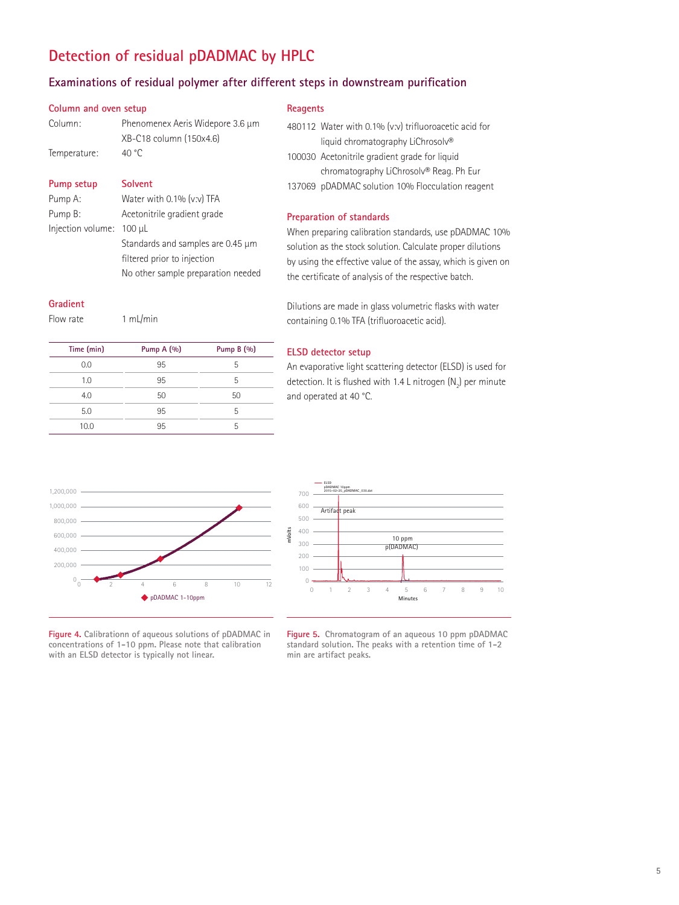# **Detection of residual pDADMAC by HPLC**

### **Examinations of residual polymer after different steps in downstream purification**

#### **Column and oven setup**

| Column:      | Phenomenex Aeris Widepore 3.6 µm |  |  |  |
|--------------|----------------------------------|--|--|--|
|              | XB-C18 column (150x4.6)          |  |  |  |
| Temperature: | 40 °C                            |  |  |  |

#### **Pump setup Solvent**

| Pump A:                  | Water with 0.1% (v:v) TFA          |
|--------------------------|------------------------------------|
| Pump B:                  | Acetonitrile gradient grade        |
| Injection volume: 100 µL |                                    |
|                          | Standards and samples are 0.45 µm  |
|                          | filtered prior to injection        |
|                          | No other sample preparation needed |

#### **Gradient**

Flow rate 1 mL/min

| Time (min) | Pump $A(%)$ | Pump B (%) |
|------------|-------------|------------|
| 0.0        | 95          | 5          |
| 1.0        | 95          | 5          |
| 4.0        | 50          | 50         |
| 5.0        | 95          | 5          |
| 10.0       | 95          | 5          |

#### **Reagents**

|  | 480112 Water with 0.1% (v:v) trifluoroacetic acid for |
|--|-------------------------------------------------------|
|  | liquid chromatography LiChrosolv®                     |
|  | 100030 Acetonitrile gradient grade for liquid         |
|  | chromatography LiChrosolv® Reag. Ph Eur               |
|  | 137069 pDADMAC solution 10% Flocculation reagent      |

#### **Preparation of standards**

When preparing calibration standards, use pDADMAC 10% solution as the stock solution. Calculate proper dilutions by using the effective value of the assay, which is given on the certificate of analysis of the respective batch.

Dilutions are made in glass volumetric flasks with water containing 0.1% TFA (trifluoroacetic acid).

#### **ELSD detector setup**

An evaporative light scattering detector (ELSD) is used for detection. It is flushed with 1.4 L nitrogen (N $_{\textrm{\scriptsize{2}}}$ ) per minute and operated at 40 °C.





**Figure 4. Calibrationn of aqueous solutions of pDADMAC in concentrations of 1-10 ppm. Please note that calibration with an ELSD detector is typically not linear.**

**Figure 5. Chromatogram of an aqueous 10 ppm pDADMAC standard solution. The peaks with a retention time of 1-2 min are artifact peaks.**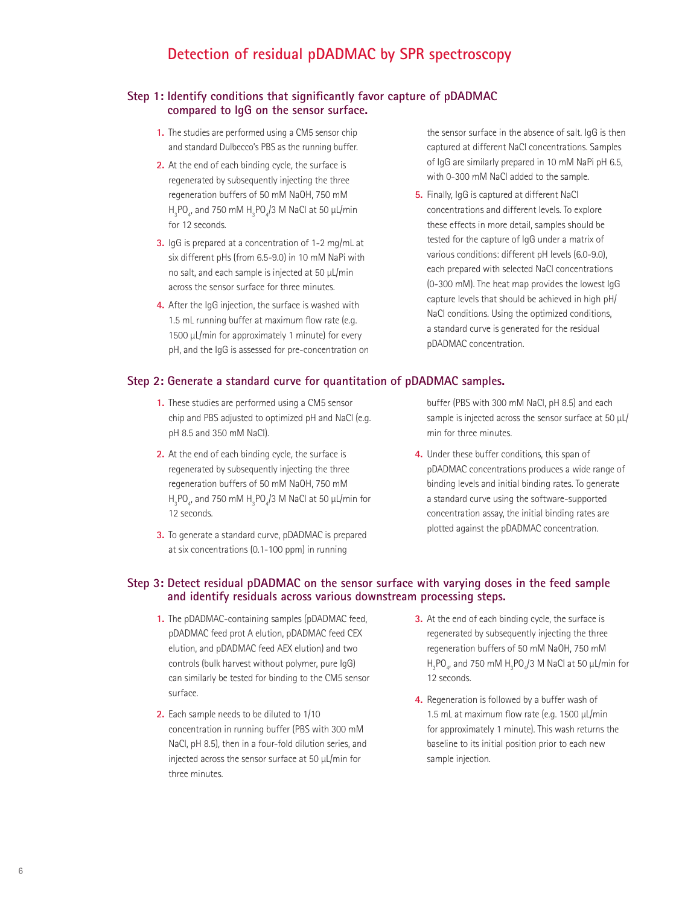# **Detection of residual pDADMAC by SPR spectroscopy**

#### **Step 1: Identify conditions that significantly favor capture of pDADMAC compared to IgG on the sensor surface.**

- **1.** The studies are performed using a CM5 sensor chip and standard Dulbecco's PBS as the running buffer.
- **2.** At the end of each binding cycle, the surface is regenerated by subsequently injecting the three regeneration buffers of 50 mM NaOH, 750 mM  $\rm H_3PO_{4'}$  and 750 mM  $\rm H_3PO_4/3$  M NaCl at 50  $\rm \mu L/min$ for 12 seconds.
- **3.** IgG is prepared at a concentration of 1-2 mg/mL at six different pHs (from 6.5-9.0) in 10 mM NaPi with no salt, and each sample is injected at 50 µL/min across the sensor surface for three minutes.
- **4.** After the IgG injection, the surface is washed with 1.5 mL running buffer at maximum flow rate (e.g. 1500 µL/min for approximately 1 minute) for every pH, and the IgG is assessed for pre-concentration on

#### **Step 2: Generate a standard curve for quantitation of pDADMAC samples.**

- **1.** These studies are performed using a CM5 sensor chip and PBS adjusted to optimized pH and NaCl (e.g. pH 8.5 and 350 mM NaCl).
- **2.** At the end of each binding cycle, the surface is regenerated by subsequently injecting the three regeneration buffers of 50 mM NaOH, 750 mM  $\rm H_3PO_4$ , and 750 mM  $\rm H_3PO_4/3$  M NaCl at 50  $\rm \mu L/min$  for 12 seconds.
- **3.** To generate a standard curve, pDADMAC is prepared at six concentrations (0.1-100 ppm) in running

the sensor surface in the absence of salt. IgG is then captured at different NaCl concentrations. Samples of IgG are similarly prepared in 10 mM NaPi pH 6.5, with 0-300 mM NaCl added to the sample.

**5.** Finally, IgG is captured at different NaCl concentrations and different levels. To explore these effects in more detail, samples should be tested for the capture of IgG under a matrix of various conditions: different pH levels (6.0-9.0), each prepared with selected NaCl concentrations (0-300 mM). The heat map provides the lowest IgG capture levels that should be achieved in high pH/ NaCl conditions. Using the optimized conditions, a standard curve is generated for the residual pDADMAC concentration.

buffer (PBS with 300 mM NaCl, pH 8.5) and each sample is injected across the sensor surface at 50 µL/ min for three minutes.

**4.** Under these buffer conditions, this span of pDADMAC concentrations produces a wide range of binding levels and initial binding rates. To generate a standard curve using the software-supported concentration assay, the initial binding rates are plotted against the pDADMAC concentration.

#### **Step 3: Detect residual pDADMAC on the sensor surface with varying doses in the feed sample and identify residuals across various downstream processing steps.**

- **1.** The pDADMAC-containing samples (pDADMAC feed, pDADMAC feed prot A elution, pDADMAC feed CEX elution, and pDADMAC feed AEX elution) and two controls (bulk harvest without polymer, pure IgG) can similarly be tested for binding to the CM5 sensor surface.
- **2.** Each sample needs to be diluted to 1/10 concentration in running buffer (PBS with 300 mM NaCl, pH 8.5), then in a four-fold dilution series, and injected across the sensor surface at 50 µL/min for three minutes.
- **3.** At the end of each binding cycle, the surface is regenerated by subsequently injecting the three regeneration buffers of 50 mM NaOH, 750 mM  $\rm H_3$ PO $_{4}$ , and 750 mM  $\rm H_3$ PO $_{4}$ /3 M NaCl at 50  $\rm \mu L/min$  for 12 seconds.
- **4.** Regeneration is followed by a buffer wash of 1.5 mL at maximum flow rate (e.g. 1500 µL/min for approximately 1 minute). This wash returns the baseline to its initial position prior to each new sample injection.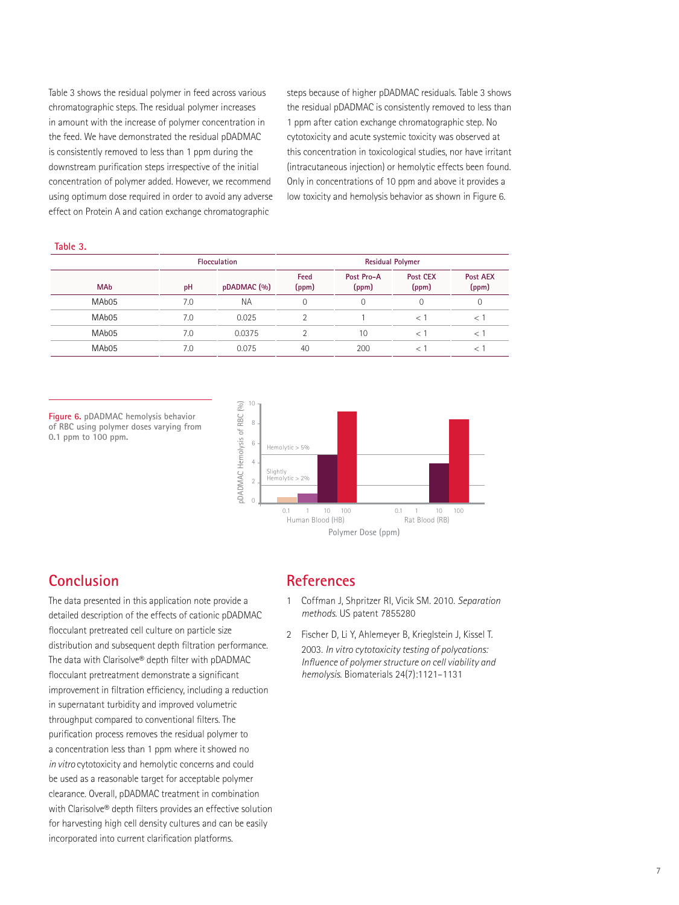Table 3 shows the residual polymer in feed across various chromatographic steps. The residual polymer increases in amount with the increase of polymer concentration in the feed. We have demonstrated the residual pDADMAC is consistently removed to less than 1 ppm during the downstream purification steps irrespective of the initial concentration of polymer added. However, we recommend using optimum dose required in order to avoid any adverse effect on Protein A and cation exchange chromatographic

steps because of higher pDADMAC residuals. Table 3 shows the residual pDADMAC is consistently removed to less than 1 ppm after cation exchange chromatographic step. No cytotoxicity and acute systemic toxicity was observed at this concentration in toxicological studies, nor have irritant (intracutaneous injection) or hemolytic effects been found. Only in concentrations of 10 ppm and above it provides a low toxicity and hemolysis behavior as shown in Figure 6.

#### **Table 3.**

|                   | <b>Flocculation</b> |           | <b>Residual Polymer</b> |                     |                   |                   |  |
|-------------------|---------------------|-----------|-------------------------|---------------------|-------------------|-------------------|--|
| <b>MAb</b>        | pDADMAC (%)<br>pH   |           | Feed<br>(ppm)           | Post Pro-A<br>(ppm) | Post CEX<br>(ppm) | Post AEX<br>(ppm) |  |
| MAb <sub>05</sub> | 7.0                 | <b>NA</b> | 0                       | 0                   | 0                 | 0                 |  |
| MAb <sub>05</sub> | 7.0                 | 0.025     |                         |                     | $\lt$             |                   |  |
| MAb <sub>05</sub> | 7.0                 | 0.0375    |                         | 10                  | $\epsilon$        |                   |  |
| MAb <sub>05</sub> | 7.0                 | 0.075     | 40                      | 200                 |                   |                   |  |

**Figure 6. pDADMAC hemolysis behavior of RBC using polymer doses varying from 0.1 ppm to 100 ppm.**



## **Conclusion**

The data presented in this application note provide a detailed description of the effects of cationic pDADMAC flocculant pretreated cell culture on particle size distribution and subsequent depth filtration performance. The data with Clarisolve® depth filter with pDADMAC flocculant pretreatment demonstrate a significant improvement in filtration efficiency, including a reduction in supernatant turbidity and improved volumetric throughput compared to conventional filters. The purification process removes the residual polymer to a concentration less than 1 ppm where it showed no *in vitro* cytotoxicity and hemolytic concerns and could be used as a reasonable target for acceptable polymer clearance. Overall, pDADMAC treatment in combination with Clarisolve® depth filters provides an effective solution for harvesting high cell density cultures and can be easily incorporated into current clarification platforms.

#### **References**

- 1 Coffman J, Shpritzer RI, Vicik SM. 2010. *Separation methods*. US patent 7855280
- 2 Fischer D, Li Y, Ahlemeyer B, Krieglstein J, Kissel T. 2003. *In vitro cytotoxicity testing of polycations: Influence of polymer structure on cell viability and hemolysis*. Biomaterials 24(7):1121–1131